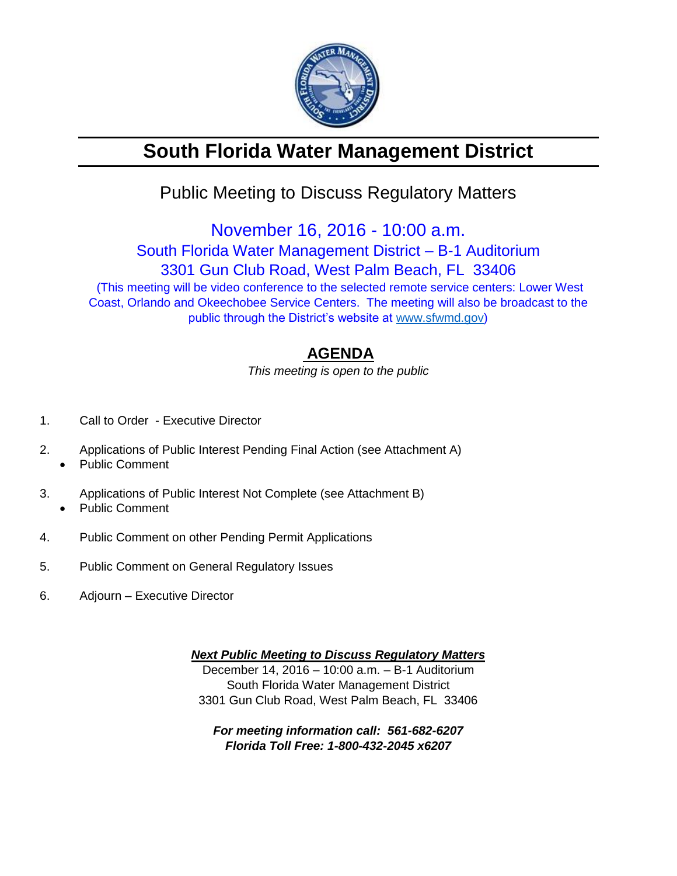

# **South Florida Water Management District**

## Public Meeting to Discuss Regulatory Matters

November 16, 2016 - 10:00 a.m.

South Florida Water Management District – B-1 Auditorium

3301 Gun Club Road, West Palm Beach, FL 33406

(This meeting will be video conference to the selected remote service centers: Lower West Coast, Orlando and Okeechobee Service Centers. The meeting will also be broadcast to the public through the District's website at [www.sfwmd.gov\)](http://www.sfwmd.gov/)

### **AGENDA**

*This meeting is open to the public*

- 1. Call to Order Executive Director
- 2. Applications of Public Interest Pending Final Action (see Attachment A)
	- Public Comment
- 3. Applications of Public Interest Not Complete (see Attachment B) Public Comment
- 4. Public Comment on other Pending Permit Applications
- 5. Public Comment on General Regulatory Issues
- 6. Adjourn Executive Director

*Next Public Meeting to Discuss Regulatory Matters* December 14, 2016 – 10:00 a.m. – B-1 Auditorium South Florida Water Management District 3301 Gun Club Road, West Palm Beach, FL 33406

*For meeting information call: 561-682-6207 Florida Toll Free: 1-800-432-2045 x6207*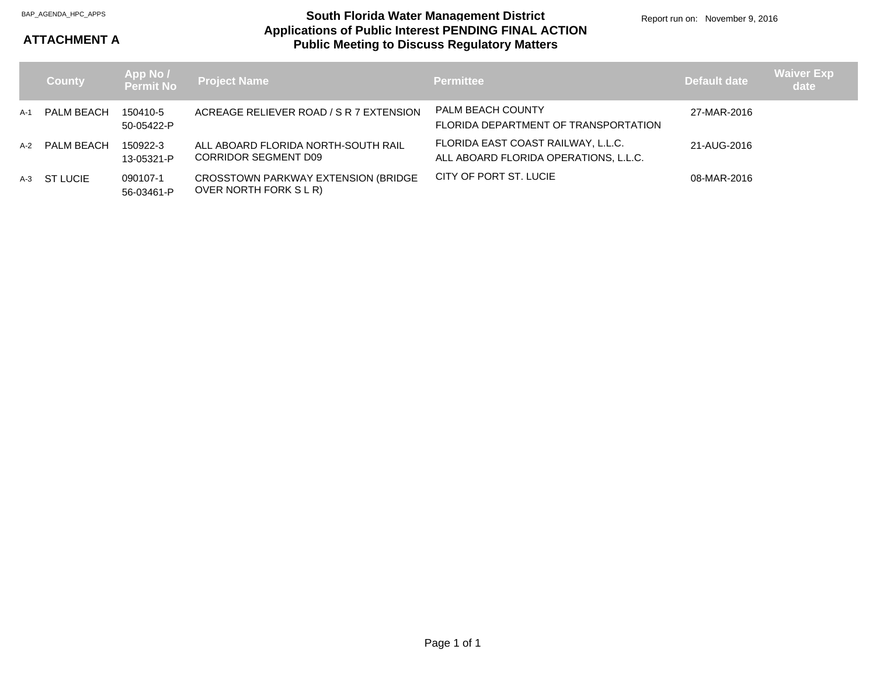#### **Applications of Public Interest PENDING FINAL ACTION Public Meeting to Discuss Regulatory Matters** BAP\_AGENDA\_HPC\_APPS **South Florida Water Management District**

#### **ATTACHMENT A**

|     | <b>County</b>  |                        | App No /<br>Permit No Project Name                            | <b>Permittee</b>                                                            | <b>Default date</b> | <b>Waiver Exp</b><br>date |
|-----|----------------|------------------------|---------------------------------------------------------------|-----------------------------------------------------------------------------|---------------------|---------------------------|
| A-1 | PALM BEACH     | 150410-5<br>50-05422-P | ACREAGE RELIEVER ROAD / S R 7 EXTENSION                       | <b>PALM BEACH COUNTY</b><br>FLORIDA DEPARTMENT OF TRANSPORTATION            | 27-MAR-2016         |                           |
|     | A-2 PALM BEACH | 150922-3<br>13-05321-P | ALL ABOARD FLORIDA NORTH-SOUTH RAIL<br>CORRIDOR SEGMENT D09   | FLORIDA EAST COAST RAILWAY, L.L.C.<br>ALL ABOARD FLORIDA OPERATIONS, L.L.C. | 21-AUG-2016         |                           |
|     | A-3 ST LUCIE   | 090107-1<br>56-03461-P | CROSSTOWN PARKWAY EXTENSION (BRIDGE<br>OVER NORTH FORK S L R) | CITY OF PORT ST. LUCIE                                                      | 08-MAR-2016         |                           |